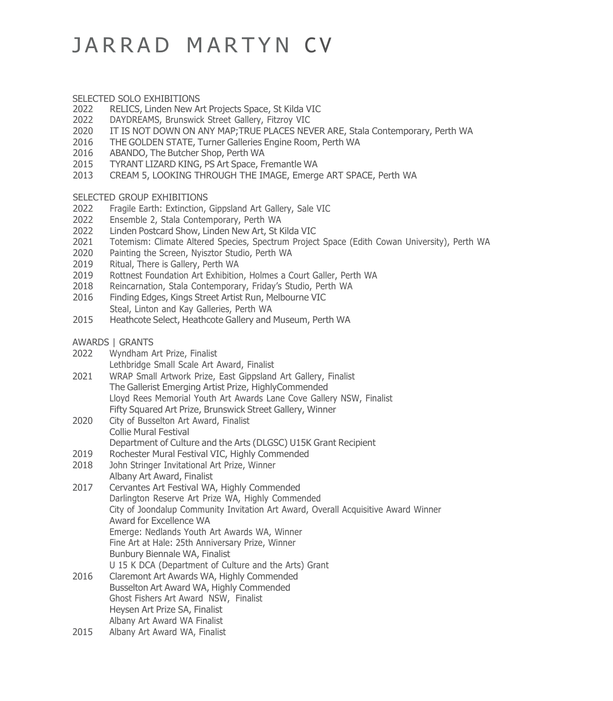# JARRAD MARTYN CV

### SELECTED SOLO EXHIBITIONS<br>2022 RELICS, Linden New A

- 2022 RELICS, Linden New Art Projects Space, St Kilda VIC<br>2022 DAYDREAMS, Brunswick Street Gallery, Fitzroy VIC
- 2022 DAYDREAMS, Brunswick Street Gallery, Fitzroy VIC<br>2020 IT IS NOT DOWN ON ANY MAP:TRUE PLACES NEV
- 2020 IT IS NOT DOWN ON ANY MAP; TRUE PLACES NEVER ARE, Stala Contemporary, Perth WA<br>2016 THE GOLDEN STATE, Turner Galleries Engine Room, Perth WA
- 2016 THE GOLDEN STATE, Turner Galleries Engine Room, Perth WA<br>2016 ABANDO, The Butcher Shop, Perth WA
- 2016 ABANDO, The Butcher Shop, Perth WA<br>2015 TYRANT LIZARD KING, PS Art Space, F
- 2015 TYRANT LIZARD KING, PS Art Space, Fremantle WA
- 2013 CREAM 5, LOOKING THROUGH THE IMAGE, Emerge ART SPACE, Perth WA

## SELECTED GROUP EXHIBITIONS<br>2022 Fragile Earth: Extinction,

- 2022 Fragile Earth: Extinction, Gippsland Art Gallery, Sale VIC<br>2022 Ensemble 2, Stala Contemporary, Perth WA
- 2022 Ensemble 2, Stala Contemporary, Perth WA
- 2022 Linden Postcard Show, Linden New Art, St Kilda VIC
- 2021 Totemism: Climate Altered Species, Spectrum Project Space (Edith Cowan University), Perth WA<br>2020 Painting the Screen, Nvisztor Studio, Perth WA
- 2020 Painting the Screen, Nyisztor Studio, Perth WA<br>2019 Ritual, There is Gallery, Perth WA
- 2019 Ritual, There is Gallery, Perth WA<br>2019 Rottnest Foundation Art Exhibition
- 2019 Rottnest Foundation Art Exhibition, Holmes a Court Galler, Perth WA<br>2018 Reincarnation, Stala Contemporary, Friday's Studio, Perth WA
- 2018 Reincarnation, Stala Contemporary, Friday's Studio, Perth WA<br>2016 Finding Edges, Kings Street Artist Run, Melbourne VIC
- 2016 Finding Edges, Kings Street Artist Run, Melbourne VIC Steal, Linton and Kay Galleries, Perth WA
- 2015 Heathcote Select, Heathcote Gallery and Museum, Perth WA

#### AWARDS | GRANTS<br>2022 Wyndham A

- Wyndham Art Prize, Finalist Lethbridge Small Scale Art Award, Finalist
- 2021 WRAP Small Artwork Prize, East Gippsland Art Gallery, Finalist The Gallerist Emerging Artist Prize, HighlyCommended Lloyd Rees Memorial Youth Art Awards Lane Cove Gallery NSW, Finalist Fifty Squared Art Prize, Brunswick Street Gallery, Winner
- 2020 City of Busselton Art Award, Finalist Collie Mural Festival Department of Culture and the Arts (DLGSC) U15K Grant Recipient
- 2019 Rochester Mural Festival VIC, Highly Commended<br>2018 – John Stringer Invitational Art Prize, Winner
- John Stringer Invitational Art Prize, Winner Albany Art Award, Finalist
- 2017 Cervantes Art Festival WA, Highly Commended Darlington Reserve Art Prize WA, Highly Commended City of Joondalup Community Invitation Art Award, Overall Acquisitive Award Winner Award for Excellence WA Emerge: Nedlands Youth Art Awards WA, Winner Fine Art at Hale: 25th Anniversary Prize, Winner Bunbury Biennale WA, Finalist U 15 K DCA (Department of Culture and the Arts) Grant
- 2016 Claremont Art Awards WA, Highly Commended Busselton Art Award WA, Highly Commended Ghost Fishers Art Award NSW, Finalist Heysen Art Prize SA, Finalist Albany Art Award WA Finalist
- 2015 Albany Art Award WA, Finalist